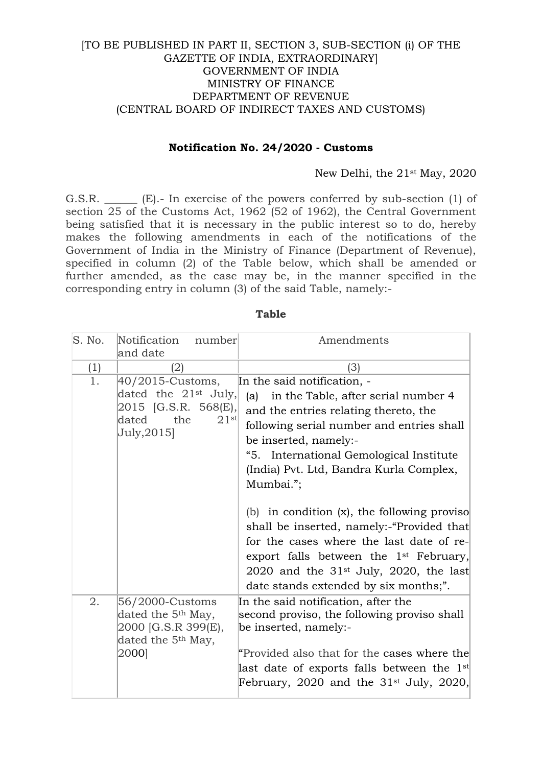## [TO BE PUBLISHED IN PART II, SECTION 3, SUB-SECTION (i) OF THE GAZETTE OF INDIA, EXTRAORDINARY] GOVERNMENT OF INDIA MINISTRY OF FINANCE DEPARTMENT OF REVENUE (CENTRAL BOARD OF INDIRECT TAXES AND CUSTOMS)

## **Notification No. 24/2020 - Customs**

## New Delhi, the 21st May, 2020

G.S.R. \_\_\_\_\_\_ (E).- In exercise of the powers conferred by sub-section (1) of section 25 of the Customs Act, 1962 (52 of 1962), the Central Government being satisfied that it is necessary in the public interest so to do, hereby makes the following amendments in each of the notifications of the Government of India in the Ministry of Finance (Department of Revenue), specified in column (2) of the Table below, which shall be amended or further amended, as the case may be, in the manner specified in the corresponding entry in column (3) of the said Table, namely:-

| S. No. | Notification<br>number<br>and date                                                                                  | Amendments                                                                                                                                                                                                                                                                                                                                                                                                                                                                                                                                                                           |
|--------|---------------------------------------------------------------------------------------------------------------------|--------------------------------------------------------------------------------------------------------------------------------------------------------------------------------------------------------------------------------------------------------------------------------------------------------------------------------------------------------------------------------------------------------------------------------------------------------------------------------------------------------------------------------------------------------------------------------------|
| (1)    | (2)                                                                                                                 | (3)                                                                                                                                                                                                                                                                                                                                                                                                                                                                                                                                                                                  |
| 1.     | 40/2015-Customs,<br>dated the $21^{st}$ July,<br>2015 [G.S.R. 568(E),<br>21st<br>dated<br>the<br>July, 2015]        | In the said notification, -<br>in the Table, after serial number 4<br>(a)<br>and the entries relating thereto, the<br>following serial number and entries shall<br>be inserted, namely:-<br>"5. International Gemological Institute<br>(India) Pvt. Ltd, Bandra Kurla Complex,<br>Mumbai.";<br>(b) in condition $(x)$ , the following proviso<br>shall be inserted, namely:-"Provided that<br>for the cases where the last date of re-<br>export falls between the 1 <sup>st</sup> February,<br>2020 and the $31^{st}$ July, 2020, the last<br>date stands extended by six months;". |
| 2.     | 56/2000-Customs<br>dated the 5 <sup>th</sup> May,<br>2000 [G.S.R 399(E),<br>dated the 5 <sup>th</sup> May,<br>2000] | In the said notification, after the<br>second proviso, the following proviso shall<br>be inserted, namely:-<br>"Provided also that for the cases where the<br>last date of exports falls between the $1st$<br>February, 2020 and the $31st$ July, 2020,                                                                                                                                                                                                                                                                                                                              |

## **Table**